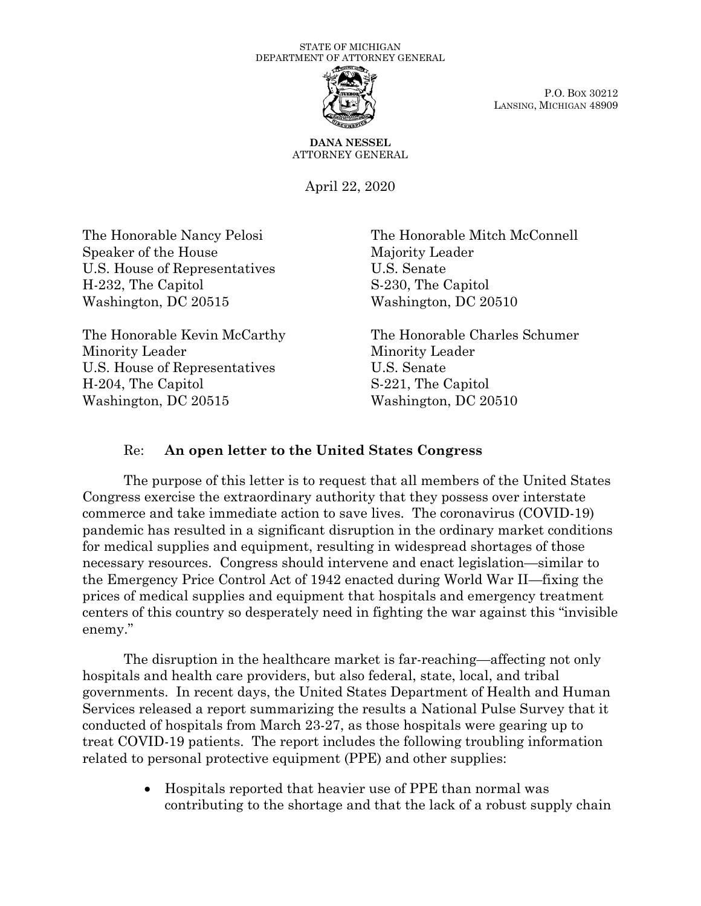## STATE OF MICHIGAN DEPARTMENT OF ATTORNEY GENERAL



P.O. BOX 30212 LANSING, MICHIGAN 48909

**DANA NESSEL** ATTORNEY GENERAL

April 22, 2020

The Honorable Nancy Pelosi Speaker of the House U.S. House of Representatives H-232, The Capitol Washington, DC 20515

The Honorable Kevin McCarthy Minority Leader U.S. House of Representatives H-204, The Capitol Washington, DC 20515

The Honorable Mitch McConnell Majority Leader U.S. Senate S-230, The Capitol Washington, DC 20510

The Honorable Charles Schumer Minority Leader U.S. Senate S-221, The Capitol Washington, DC 20510

## Re: **An open letter to the United States Congress**

The purpose of this letter is to request that all members of the United States Congress exercise the extraordinary authority that they possess over interstate commerce and take immediate action to save lives. The coronavirus (COVID-19) pandemic has resulted in a significant disruption in the ordinary market conditions for medical supplies and equipment, resulting in widespread shortages of those necessary resources. Congress should intervene and enact legislation—similar to the Emergency Price Control Act of 1942 enacted during World War II—fixing the prices of medical supplies and equipment that hospitals and emergency treatment centers of this country so desperately need in fighting the war against this "invisible enemy."

The disruption in the healthcare market is far-reaching—affecting not only hospitals and health care providers, but also federal, state, local, and tribal governments. In recent days, the United States Department of Health and Human Services released a report summarizing the results a National Pulse Survey that it conducted of hospitals from March 23-27, as those hospitals were gearing up to treat COVID-19 patients. The report includes the following troubling information related to personal protective equipment (PPE) and other supplies:

> • Hospitals reported that heavier use of PPE than normal was contributing to the shortage and that the lack of a robust supply chain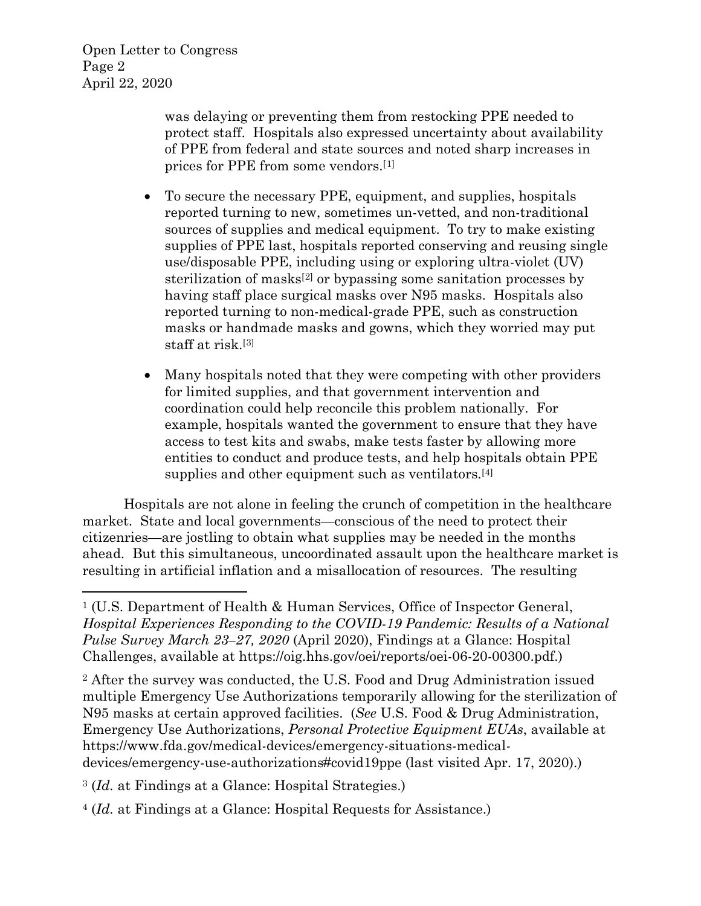Open Letter to Congress Page 2 April 22, 2020

> was delaying or preventing them from restocking PPE needed to protect staff. Hospitals also expressed uncertainty about availability of PPE from federal and state sources and noted sharp increases in prices for PPE from some vendors.[[1](#page-1-0)]

- To secure the necessary PPE, equipment, and supplies, hospitals reported turning to new, sometimes un-vetted, and non-traditional sources of supplies and medical equipment. To try to make existing supplies of PPE last, hospitals reported conserving and reusing single use/disposable PPE, including using or exploring ultra-violet (UV) sterilization of masks[[2\]](#page-1-1) or bypassing some sanitation processes by having staff place surgical masks over N95 masks. Hospitals also reported turning to non-medical-grade PPE, such as construction masks or handmade masks and gowns, which they worried may put staff at risk.[[3\]](#page-1-2)
- Many hospitals noted that they were competing with other providers for limited supplies, and that government intervention and coordination could help reconcile this problem nationally. For example, hospitals wanted the government to ensure that they have access to test kits and swabs, make tests faster by allowing more entities to conduct and produce tests, and help hospitals obtain PPE supplies and other equipment such as ventilators.[[4](#page-1-3)]

Hospitals are not alone in feeling the crunch of competition in the healthcare market. State and local governments—conscious of the need to protect their citizenries—are jostling to obtain what supplies may be needed in the months ahead. But this simultaneous, uncoordinated assault upon the healthcare market is resulting in artificial inflation and a misallocation of resources. The resulting

<span id="page-1-1"></span><sup>2</sup> After the survey was conducted, the U.S. Food and Drug Administration issued multiple Emergency Use Authorizations temporarily allowing for the sterilization of N95 masks at certain approved facilities. (*See* U.S. Food & Drug Administration, Emergency Use Authorizations, *Personal Protective Equipment EUAs*, available at https://www.fda.gov/medical-devices/emergency-situations-medicaldevices/emergency-use-authorizations#covid19ppe (last visited Apr. 17, 2020).)

<span id="page-1-2"></span>3 (*Id.* at Findings at a Glance: Hospital Strategies.)

<span id="page-1-3"></span>4 (*Id.* at Findings at a Glance: Hospital Requests for Assistance.)

<span id="page-1-0"></span><sup>1</sup> (U.S. Department of Health & Human Services, Office of Inspector General, *Hospital Experiences Responding to the COVID-19 Pandemic: Results of a National Pulse Survey March 23–27, 2020* (April 2020), Findings at a Glance: Hospital Challenges, available at [https://oig.hhs.gov/oei/reports/oei-06-20-00300.pdf.](https://oig.hhs.gov/oei/reports/oei-06-20-00300.pdf))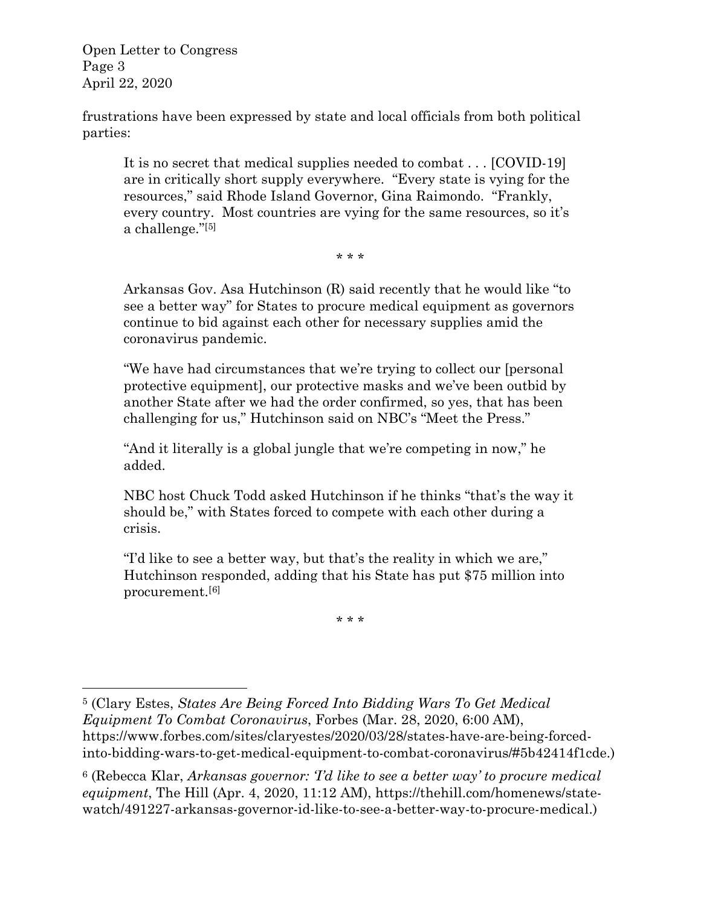Open Letter to Congress Page 3 April 22, 2020

frustrations have been expressed by state and local officials from both political parties:

It is no secret that medical supplies needed to combat . . . [COVID-19] are in critically short supply everywhere. "Every state is vying for the resources," said Rhode Island Governor, Gina Raimondo. "Frankly, every country. Most countries are vying for the same resources, so it's a challenge."[[5](#page-2-0)]

\* \* \*

Arkansas Gov. Asa Hutchinson (R) said recently that he would like "to see a better way" for States to procure medical equipment as governors continue to bid against each other for necessary supplies amid the coronavirus pandemic.

"We have had circumstances that we're trying to collect our [personal protective equipment], our protective masks and we've been outbid by another State after we had the order confirmed, so yes, that has been challenging for us," Hutchinson said on NBC's "Meet the Press."

"And it literally is a global jungle that we're competing in now," he added.

NBC host Chuck Todd asked Hutchinson if he thinks "that's the way it should be," with States forced to compete with each other during a crisis.

"I'd like to see a better way, but that's the reality in which we are," Hutchinson responded, adding that his State has put \$75 million into procurement.[[6\]](#page-2-1)

\* \* \*

<span id="page-2-0"></span><sup>5</sup> (Clary Estes, *States Are Being Forced Into Bidding Wars To Get Medical Equipment To Combat Coronavirus*, Forbes (Mar. 28, 2020, 6:00 AM), [https://www.forbes.com/sites/claryestes/2020/03/28/states-have-are-being-forced](https://www.forbes.com/sites/claryestes/2020/03/28/states-have-are-being-forced-into-bidding-wars-to-get-medical-equipment-to-combat-coronavirus/#5b42414f1cde)[into-bidding-wars-to-get-medical-equipment-to-combat-coronavirus/#5b42414f1cde.](https://www.forbes.com/sites/claryestes/2020/03/28/states-have-are-being-forced-into-bidding-wars-to-get-medical-equipment-to-combat-coronavirus/#5b42414f1cde))

<span id="page-2-1"></span><sup>6</sup> (Rebecca Klar, *Arkansas governor: 'I'd like to see a better way' to procure medical equipment*, The Hill (Apr. 4, 2020, 11:12 AM), [https://thehill.com/homenews/state](https://thehill.com/homenews/state-watch/491227-arkansas-governor-id-like-to-see-a-better-way-to-procure-medical)[watch/491227-arkansas-governor-id-like-to-see-a-better-way-to-procure-medical.](https://thehill.com/homenews/state-watch/491227-arkansas-governor-id-like-to-see-a-better-way-to-procure-medical))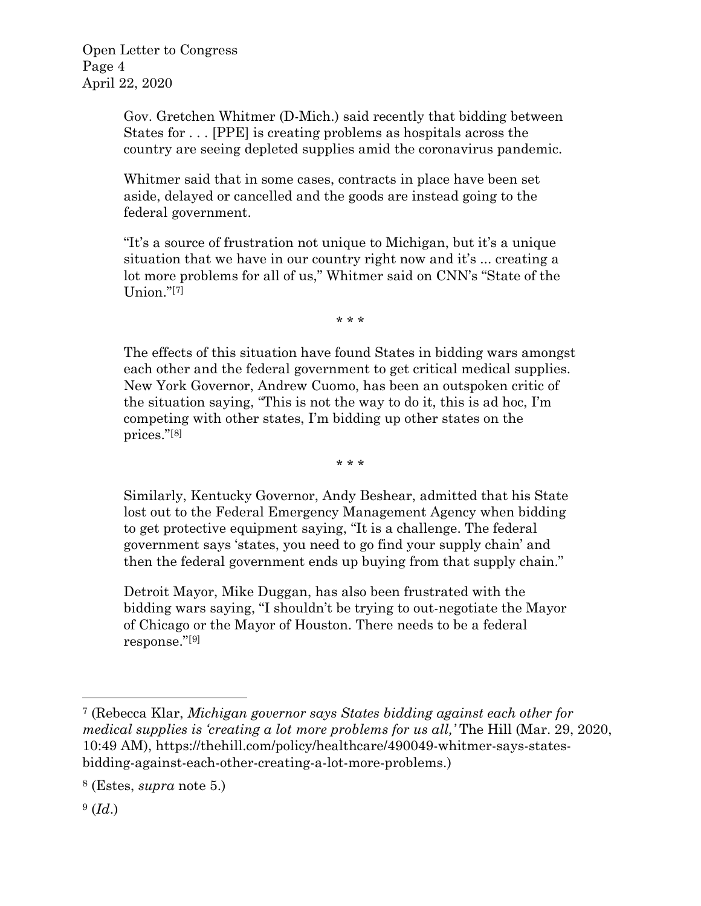Gov. Gretchen Whitmer (D-Mich.) said recently that bidding between States for . . . [PPE] is creating problems as hospitals across the country are seeing depleted supplies amid the coronavirus pandemic.

Whitmer said that in some cases, contracts in place have been set aside, delayed or cancelled and the goods are instead going to the federal government.

"It's a source of frustration not unique to Michigan, but it's a unique situation that we have in our country right now and it's ... creating a lot more problems for all of us," Whitmer said on CNN's "State of the Union."[\[7\]](#page-3-0)

\* \* \*

The effects of this situation have found States in bidding wars amongst each other and the federal government to get critical medical supplies. New York Governor, Andrew Cuomo, has been an outspoken critic of the situation saying, "This is not the way to do it, this is ad hoc, I'm competing with other states, I'm bidding up other states on the prices."[[8\]](#page-3-1)

\* \* \*

Similarly, Kentucky Governor, Andy Beshear, admitted that his State lost out to the Federal Emergency Management Agency when bidding to get protective equipment saying, "It is a challenge. The federal government says 'states, you need to go find your supply chain' and then the federal government ends up buying from that supply chain."

Detroit Mayor, Mike Duggan, has also been frustrated with the bidding wars saying, "I shouldn't be trying to out-negotiate the Mayor of Chicago or the Mayor of Houston. There needs to be a federal response."[[9](#page-3-2)]

<span id="page-3-0"></span><sup>7</sup> (Rebecca Klar, *Michigan governor says States bidding against each other for medical supplies is 'creating a lot more problems for us all,'* The Hill (Mar. 29, 2020, 10:49 AM), [https://thehill.com/policy/healthcare/490049-whitmer-says-states](https://thehill.com/policy/healthcare/490049-whitmer-says-states-bidding-against-each-other-creating-a-lot-more-problems)[bidding-against-each-other-creating-a-lot-more-problems.](https://thehill.com/policy/healthcare/490049-whitmer-says-states-bidding-against-each-other-creating-a-lot-more-problems))

<span id="page-3-1"></span><sup>8</sup> (Estes, *supra* note 5.)

<span id="page-3-2"></span><sup>9 (</sup>*Id*.)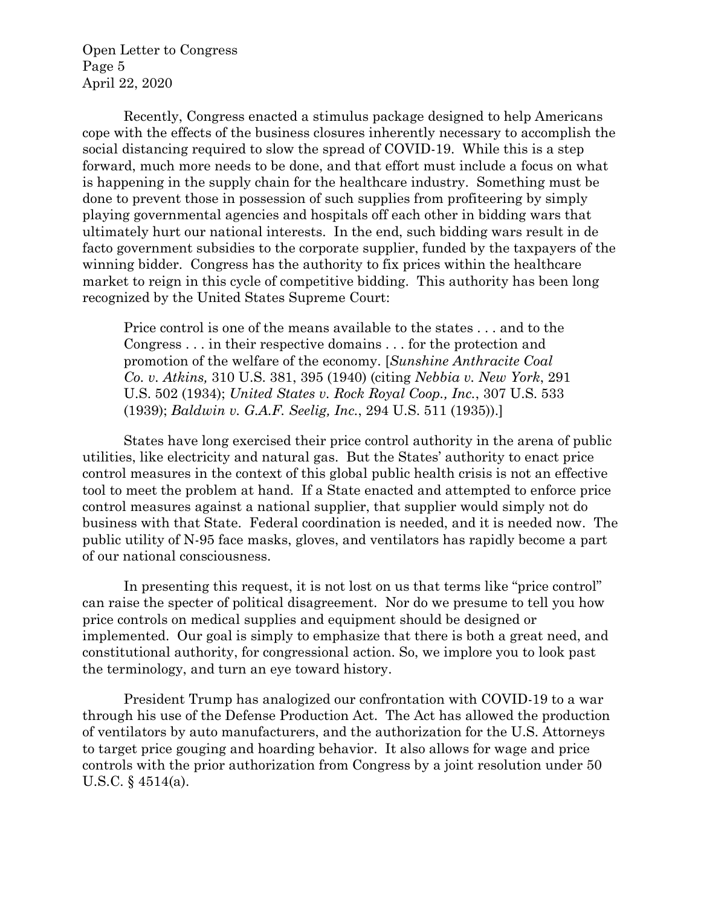Open Letter to Congress Page 5 April 22, 2020

Recently, Congress enacted a stimulus package designed to help Americans cope with the effects of the business closures inherently necessary to accomplish the social distancing required to slow the spread of COVID-19. While this is a step forward, much more needs to be done, and that effort must include a focus on what is happening in the supply chain for the healthcare industry. Something must be done to prevent those in possession of such supplies from profiteering by simply playing governmental agencies and hospitals off each other in bidding wars that ultimately hurt our national interests. In the end, such bidding wars result in de facto government subsidies to the corporate supplier, funded by the taxpayers of the winning bidder. Congress has the authority to fix prices within the healthcare market to reign in this cycle of competitive bidding. This authority has been long recognized by the United States Supreme Court:

Price control is one of the means available to the states . . . and to the Congress . . . in their respective domains . . . for the protection and promotion of the welfare of the economy. [*Sunshine Anthracite Coal Co. v. Atkins,* 310 U.S. 381, 395 (1940) (citing *Nebbia v. New York*, 291 U.S. 502 (1934); *United States v. Rock Royal Coop., Inc.*, 307 U.S. 533 (1939); *Baldwin v. G.A.F. Seelig, Inc.*, 294 U.S. 511 (1935)).]

States have long exercised their price control authority in the arena of public utilities, like electricity and natural gas. But the States' authority to enact price control measures in the context of this global public health crisis is not an effective tool to meet the problem at hand. If a State enacted and attempted to enforce price control measures against a national supplier, that supplier would simply not do business with that State. Federal coordination is needed, and it is needed now. The public utility of N-95 face masks, gloves, and ventilators has rapidly become a part of our national consciousness.

In presenting this request, it is not lost on us that terms like "price control" can raise the specter of political disagreement. Nor do we presume to tell you how price controls on medical supplies and equipment should be designed or implemented. Our goal is simply to emphasize that there is both a great need, and constitutional authority, for congressional action. So, we implore you to look past the terminology, and turn an eye toward history.

President Trump has analogized our confrontation with COVID-19 to a war through his use of the Defense Production Act. The Act has allowed the production of ventilators by auto manufacturers, and the authorization for the U.S. Attorneys to target price gouging and hoarding behavior. It also allows for wage and price controls with the prior authorization from Congress by a joint resolution under 50 U.S.C. § 4514(a).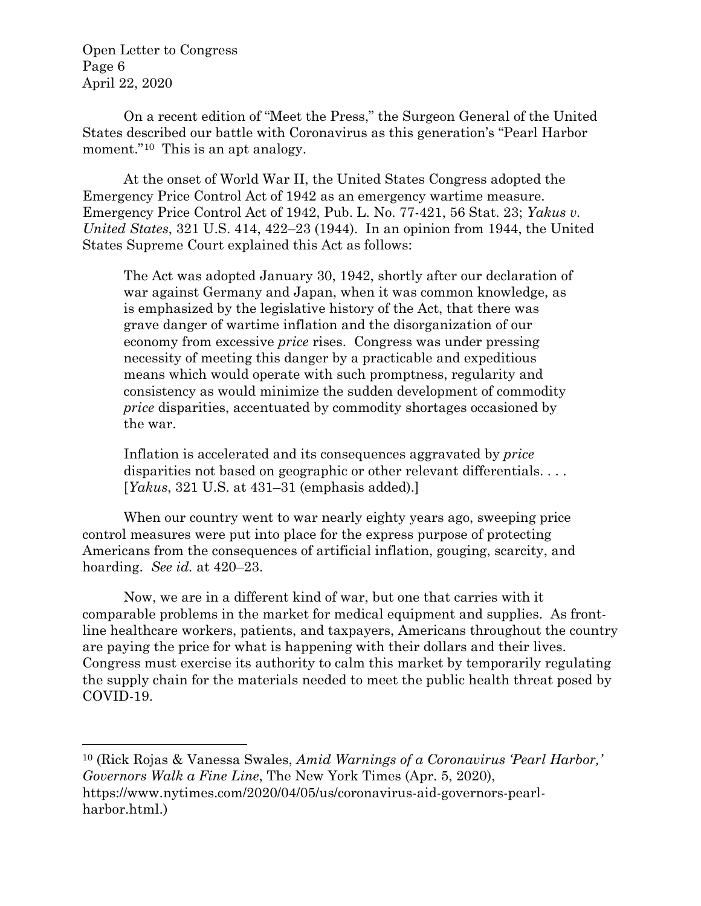Open Letter to Congress Page 6 April 22, 2020

On a recent edition of "Meet the Press," the Surgeon General of the United States described our battle with Coronavirus as this generation's "Pearl Harbor moment."<sup>10</sup> This is an apt analogy.

At the onset of World War II, the United States Congress adopted the Emergency Price Control Act of 1942 as an emergency wartime measure. Emergency Price Control Act of 1942, Pub. L. No. 77-421, 56 Stat. 23; *Yakus v. United States*, 321 U.S. 414, 422–23 (1944). In an opinion from 1944, the United States Supreme Court explained this Act as follows:

The Act was adopted January 30, 1942, shortly after our declaration of war against Germany and Japan, when it was common knowledge, as is emphasized by the legislative history of the Act, that there was grave danger of wartime inflation and the disorganization of our economy from excessive *price* rises. Congress was under pressing necessity of meeting this danger by a practicable and expeditious means which would operate with such promptness, regularity and consistency as would minimize the sudden development of commodity *price* disparities, accentuated by commodity shortages occasioned by the war.

Inflation is accelerated and its consequences aggravated by *price* disparities not based on geographic or other relevant differentials. . . . [*Yakus*, 321 U.S. at 431–31 (emphasis added).]

When our country went to war nearly eighty years ago, sweeping price control measures were put into place for the express purpose of protecting Americans from the consequences of artificial inflation, gouging, scarcity, and hoarding. *See id.* at 420–23.

Now, we are in a different kind of war, but one that carries with it comparable problems in the market for medical equipment and supplies. As frontline healthcare workers, patients, and taxpayers, Americans throughout the country are paying the price for what is happening with their dollars and their lives. Congress must exercise its authority to calm this market by temporarily regulating the supply chain for the materials needed to meet the public health threat posed by COVID-19.

<span id="page-5-0"></span><sup>10</sup> (Rick Rojas & Vanessa Swales, *Amid Warnings of a Coronavirus 'Pearl Harbor,' Governors Walk a Fine Line*, The New York Times (Apr. 5, 2020), [https://www.nytimes.com/2020/04/05/us/coronavirus-aid-governors-pearl](https://www.nytimes.com/2020/04/05/us/coronavirus-aid-governors-pearl-harbor.html)[harbor.html.](https://www.nytimes.com/2020/04/05/us/coronavirus-aid-governors-pearl-harbor.html))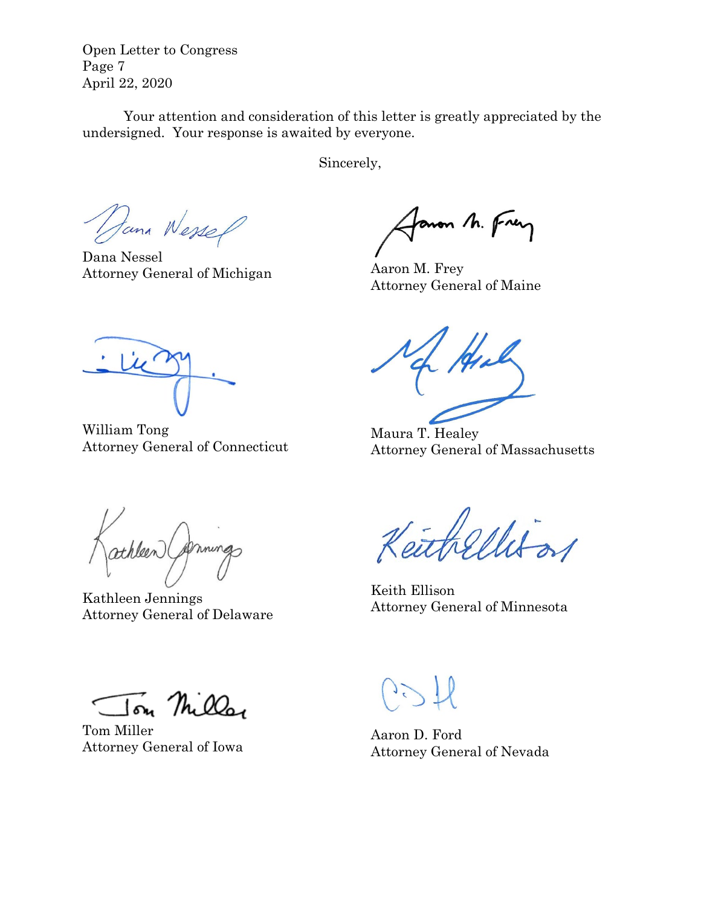Open Letter to Congress Page 7 April 22, 2020

Your attention and consideration of this letter is greatly appreciated by the undersigned. Your response is awaited by everyone.

Sincerely,

Dana Wessel

Dana Nessel Attorney General of Michigan

anon M. Frey

Aaron M. Frey Attorney General of Maine

William Tong Attorney General of Connecticut

Maura T. Healey Attorney General of Massachusetts

athleen (Soming

Kathleen Jennings Attorney General of Delaware

Keith Ellison Attorney General of Minnesota

Jon Miller

Tom Miller Attorney General of Iowa

Aaron D. Ford Attorney General of Nevada